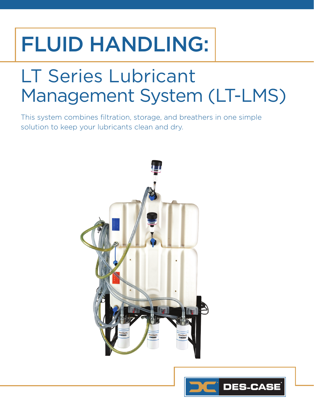## FLUID HANDLING:

### LT Series Lubricant Management System (LT-LMS)

This system combines filtration, storage, and breathers in one simple solution to keep your lubricants clean and dry.



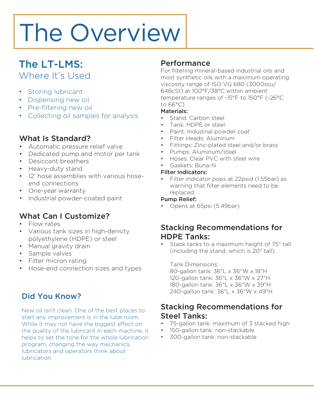# The Overview

### The LT-LMS: Where It's Used

- Storing lubricant
- Dispensing new oil
- Pre-filtering new oil
- Collecting oil samples for analysis

### What Is Standard?

- Automatic pressure relief valve
- Dedicated pump and motor per tank
- Desiccant breathers
- Heavy-duty stand
- 12' hose assemblies with various hoseend connections
- One-year warranty
- Industrial powder-coated paint

### What Can I Customize?

- Flow rates
- Various tank sizes in high-density polyethylene (HDPE) or steel
- Manual gravity drain
- Sample valves
- Filter micron rating
- Hose-end connection sizes and types

### Did You Know?

New oil isn't clean. One of the best places to start any improvement is in the lube room. While it may not have the biggest effect on the quality of the lubricant in each machine, it helps to set the tone for the whole lubrication program, changing the way mechanics, lubricators and operators think about lubrication.

### **Performance**

For filtering mineral-based industrial oils and most synthetic oils with a maximum operating viscosity range of ISO VG 680 (3000ssu/ 648cSt) at 100°F/38°C within ambient temperature ranges of -15°F to 150°F (-26°C to 66°C)

#### Materials:

- Stand: Carbon steel
- Tank: HDPE or steel
- Paint: Industrial powder coat
- Filter Heads: Aluminum
- Fittings: Zinc-plated steel and/or brass
- Pumps: Aluminum/steel
- Hoses: Clear PVC with steel wire
- Gaskets: Buna-N

#### Filter Indicators:

• Filter indicator pops at 22psid (1.55bar) as warning that filter elements need to be replaced.

#### Pump Relief:

• Opens at 65psi (5.49bar)

### Stacking Recommendations for HDPE Tanks:

Stack tanks to a maximum height of 75" tall (including the stand, which is 20" tall).

Tank Dimensions:

80-gallon tank: 36"L x 36"W x 18"H 120-gallon tank: 36"L x 36"W x 27"H 180-gallon tank: 36"L x 36"W x 39"H 240-gallon tank: 36"L x 36"W x 49"H

### Stacking Recommendations for Steel Tanks:

- 75-gallon tank: maximum of 3 stacked high
- 150-gallon tank: non-stackable
- 300-gallon tank: non-stackable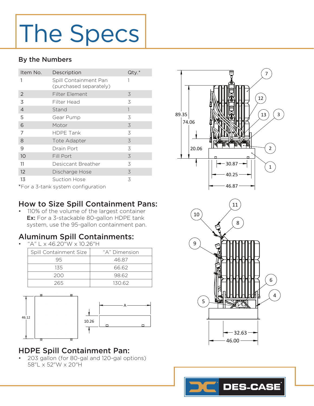# The Specs

#### By the Numbers

| Item No.                           | Description                                     | $Qty.*$      |
|------------------------------------|-------------------------------------------------|--------------|
| 1                                  | Spill Containment Pan<br>(purchased separately) |              |
| $\overline{2}$                     | Filter Element                                  | 3            |
| 3                                  | Filter Head                                     | 3            |
| $\overline{4}$                     | Stand                                           | $\mathbf{1}$ |
| 5                                  | Gear Pump                                       | 3            |
| 6                                  | Motor                                           | 3            |
| 7                                  | <b>HDPE Tank</b>                                | 3            |
| 8                                  | Tote Adapter                                    | 3            |
| 9                                  | Drain Port                                      | 3            |
| 10                                 | Fill Port                                       | 3            |
| 11                                 | Desiccant Breather                              | 3            |
| 12                                 | Discharge Hose                                  | $\preceq$    |
| 13                                 | Suction Hose                                    | 3            |
| *For a 3-tank system configuration |                                                 |              |



### How to Size Spill Containment Pans:

• 110% of the volume of the largest container Ex: For a 3-stackable 80-gallon HDPE tank system, use the 95-gallon containment pan.

### Aluminum Spill Containments:

• "A" L x 46.20"W x 10.26"H

| Spill Containment Size | "A" Dimension |
|------------------------|---------------|
| 95                     | 46.87         |
| 135                    | 66.62         |
| 200                    | 98.62         |
| 265                    | 130.62        |



### HDPE Spill Containment Pan:

• 203 gallon (for 80-gal and 120-gal options) 58"L x 52"W x 20"H



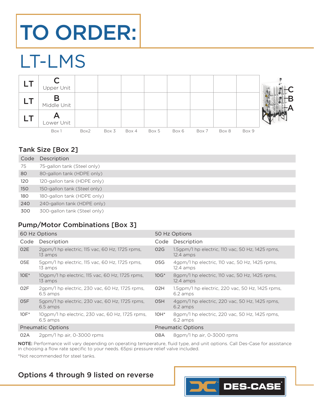## TO ORDER:

### LT-LMS



### Tank Size [Box 2]

| Code | Description                  |
|------|------------------------------|
| 75   | 75-gallon tank (Steel only)  |
| 80   | 80-gallon tank (HDPE only)   |
| 120  | 120-gallon tank (HDPE only)  |
| 150  | 150-gallon tank (Steel only) |
| 180  | 180-gallon tank (HDPE only)  |
| 240  | 240-gallon tank (HDPE only)  |
| 300  | 300-gallon tank (Steel only) |

### Pump/Motor Combinations [Box 3]

| 60 Hz Options            |                                                             | 50 Hz Options    |                                                                          |
|--------------------------|-------------------------------------------------------------|------------------|--------------------------------------------------------------------------|
| Code                     | Description                                                 |                  | Code Description                                                         |
| O <sub>2</sub> E         | 2qpm/1 hp electric, 115 vac, 60 Hz, 1725 rpms,<br>13 amps   | 02G              | $1.5$ gpm/1 hp electric, $110$ vac, $50$ Hz, $1425$ rpms,<br>$12.4$ amps |
| O5E                      | 5gpm/1 hp electric, 115 vac, 60 Hz, 1725 rpms,<br>13 amps   | 05G              | 4gpm/1 hp electric, 110 vac, 50 Hz, 1425 rpms,<br>$12.4$ amps            |
| $10E^*$                  | 10qpm/1 hp electric, 115 vac, 60 Hz, 1725 rpms,<br>13 amps  | $10G*$           | 8gpm/1 hp electric, 110 vac, 50 Hz, 1425 rpms,<br>$12.4$ amps            |
| O <sub>2</sub> F         | 2gpm/1 hp electric, 230 vac, 60 Hz, 1725 rpms,<br>6.5 amps  | O2H              | 1.5gpm/1 hp electric, 220 vac, 50 Hz, 1425 rpms,<br>6.2 amps             |
| O <sub>5</sub> F         | 5qpm/1 hp electric, 230 vac, 60 Hz, 1725 rpms,<br>6.5 amps  | O <sub>5</sub> H | 4qpm/1 hp electric, 220 vac, 50 Hz, 1425 rpms,<br>6.2 amps               |
| $10F^*$                  | 10gpm/1 hp electric, 230 vac, 60 Hz, 1725 rpms,<br>6.5 amps | $10H^*$          | 8gpm/1 hp electric, 220 vac, 50 Hz, 1425 rpms,<br>6.2 amps               |
| <b>Pneumatic Options</b> |                                                             |                  | <b>Pneumatic Options</b>                                                 |
| 02A                      | $2$ gpm/1 hp air, 0-3000 rpms                               | 08A              | 8gpm/1 hp air, 0-3000 rpms                                               |

NOTE: Performance will vary depending on operating temperature, fluid type, and unit options. Call Des-Case for assistance in choosing a flow rate specific to your needs. 65psi pressure relief valve included. \*Not recommended for steel tanks.

### Options 4 through 9 listed on reverse

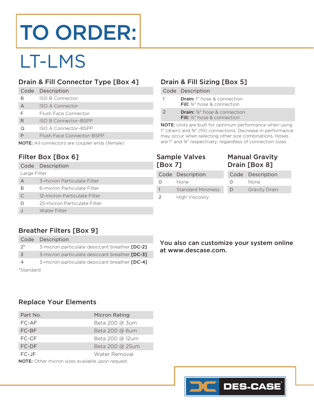## TO ORDER:

### LT-LMS

### Drain & Fill Connector Type [Box 4]

|   | Code Description          |
|---|---------------------------|
| В | ISO B Connector           |
| А | <b>ISO A Connector</b>    |
| F | Flush Face Connector      |
| R | ISO B Connector-BSPP      |
| റ | ISO A Connector-BSPP      |
|   | Flush Face Connector-BSPP |
|   |                           |

NOTE: All connectors are coupler ends (female)

### Filter Box [Box 6]

|              | Code Description             |  |
|--------------|------------------------------|--|
| Large Filter |                              |  |
| А            | 3-micron Particulate Filter  |  |
| В            | 6-micron Particulate Filter  |  |
|              | 12-micron Particulate Filter |  |
| D            | 25-micron Particulate Filter |  |
|              | Water Filter                 |  |

### Drain & Fill Sizing [Box 5]

|               | Code Description                                                                        |
|---------------|-----------------------------------------------------------------------------------------|
| 1             | <b>Drain:</b> 1" hose & connection<br><b>Fill:</b> 34" hose & connection                |
| $\mathcal{L}$ | <b>Drain:</b> 34" hose & connection<br><b>Fill:</b> 1/ <sub>2</sub> " hose & connection |

NOTE: Units are built for optimum performance when using 1" (drain) and ¾" (fill) connections. Decrease in performance may occur when selecting other size combinations. Hoses are 1" and ¾" respectively, regardless of connection sizes.

| <b>Sample Valves</b> |  |
|----------------------|--|
| [Box 7]              |  |

### Manual Gravity Drain [Box 8]

|          | Code Description         |  |
|----------|--------------------------|--|
| $\Omega$ | None                     |  |
| 1        | <b>Standard Minimess</b> |  |
| 2        | High Viscosity           |  |

|          | Code Description     |  |
|----------|----------------------|--|
| $\Omega$ | None                 |  |
| $\Box$   | <b>Gravity Drain</b> |  |

### Breather Filters [Box 9]

|           | Code Description                               |
|-----------|------------------------------------------------|
| $2^*$     | 3-micron particulate desiccant breather [DC-2] |
| 3         | 3-micron particulate desiccant breather [DC-3] |
| 4         | 3-micron particulate desiccant breather [DC-4] |
| *Standard |                                                |

You also can customize your system online at www.descase.com.

#### Replace Your Elements

| Part No.                                                | Micron Rating   |  |
|---------------------------------------------------------|-----------------|--|
| FC-AF                                                   | Beta 200 @ 3um  |  |
| FC-BF                                                   | Beta 200 @ 6um  |  |
| FC-CF                                                   | Beta 200 @ 12um |  |
| FC-DF                                                   | Beta 200 @ 25um |  |
| FC-JF                                                   | Water Removal   |  |
| <b>NOTE:</b> Other micron sizes available upon request. |                 |  |